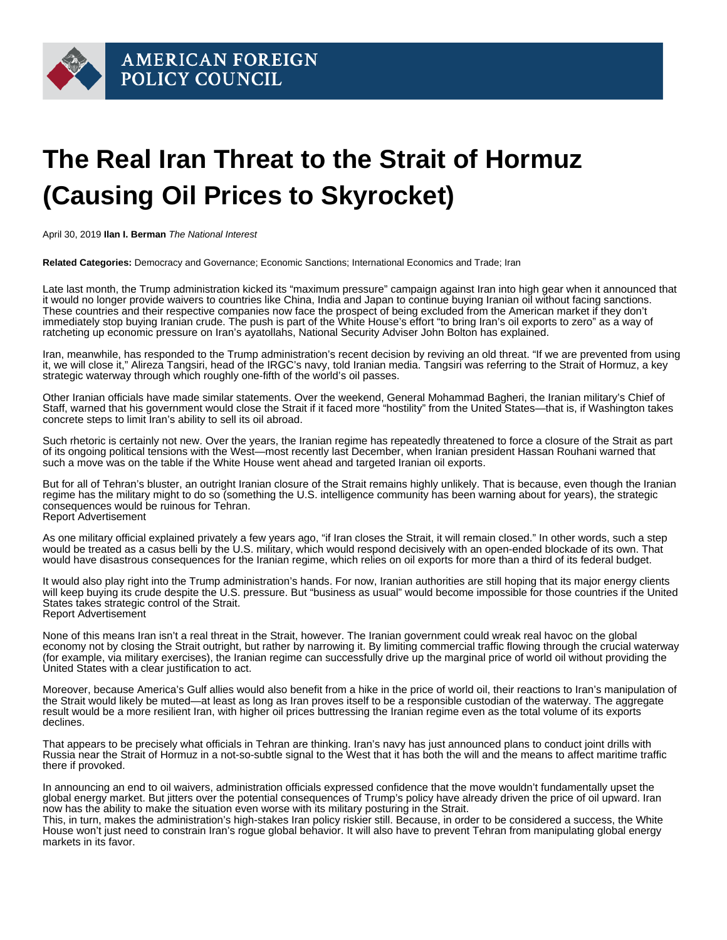

## **The Real Iran Threat to the Strait of Hormuz (Causing Oil Prices to Skyrocket)**

April 30, 2019 **Ilan I. Berman** The National Interest

**Related Categories:** Democracy and Governance; Economic Sanctions; International Economics and Trade; Iran

Late last month, the Trump administration kicked its "maximum pressure" campaign against Iran into high gear when it announced that it would no longer provide waivers to countries like China, India and Japan to continue buying Iranian oil without facing sanctions. These countries and their respective companies now face the prospect of being excluded from the American market if they don't immediately stop buying Iranian crude. The push is part of the White House's effort "to bring Iran's oil exports to zero" as a way of ratcheting up economic pressure on Iran's ayatollahs, National Security Adviser John Bolton has explained.

Iran, meanwhile, has responded to the Trump administration's recent decision by reviving an old threat. "If we are prevented from using it, we will close it," Alireza Tangsiri, head of the IRGC's navy, told Iranian media. Tangsiri was referring to the Strait of Hormuz, a key strategic waterway through which roughly one-fifth of the world's oil passes.

Other Iranian officials have made similar statements. Over the weekend, General Mohammad Bagheri, the Iranian military's Chief of Staff, warned that his government would close the Strait if it faced more "hostility" from the United States—that is, if Washington takes concrete steps to limit Iran's ability to sell its oil abroad.

Such rhetoric is certainly not new. Over the years, the Iranian regime has repeatedly threatened to force a closure of the Strait as part of its ongoing political tensions with the West—most recently last December, when Iranian president Hassan Rouhani warned that such a move was on the table if the White House went ahead and targeted Iranian oil exports.

But for all of Tehran's bluster, an outright Iranian closure of the Strait remains highly unlikely. That is because, even though the Iranian regime has the military might to do so (something the U.S. intelligence community has been warning about for years), the strategic consequences would be ruinous for Tehran. Report Advertisement

As one military official explained privately a few years ago, "if Iran closes the Strait, it will remain closed." In other words, such a step would be treated as a casus belli by the U.S. military, which would respond decisively with an open-ended blockade of its own. That would have disastrous consequences for the Iranian regime, which relies on oil exports for more than a third of its federal budget.

It would also play right into the Trump administration's hands. For now, Iranian authorities are still hoping that its major energy clients will keep buying its crude despite the U.S. pressure. But "business as usual" would become impossible for those countries if the United States takes strategic control of the Strait. Report Advertisement

None of this means Iran isn't a real threat in the Strait, however. The Iranian government could wreak real havoc on the global economy not by closing the Strait outright, but rather by narrowing it. By limiting commercial traffic flowing through the crucial waterway (for example, via military exercises), the Iranian regime can successfully drive up the marginal price of world oil without providing the United States with a clear justification to act.

Moreover, because America's Gulf allies would also benefit from a hike in the price of world oil, their reactions to Iran's manipulation of the Strait would likely be muted—at least as long as Iran proves itself to be a responsible custodian of the waterway. The aggregate result would be a more resilient Iran, with higher oil prices buttressing the Iranian regime even as the total volume of its exports declines.

That appears to be precisely what officials in Tehran are thinking. Iran's navy has just announced plans to conduct joint drills with Russia near the Strait of Hormuz in a not-so-subtle signal to the West that it has both the will and the means to affect maritime traffic there if provoked.

In announcing an end to oil waivers, administration officials expressed confidence that the move wouldn't fundamentally upset the global energy market. But jitters over the potential consequences of Trump's policy have already driven the price of oil upward. Iran now has the ability to make the situation even worse with its military posturing in the Strait.

This, in turn, makes the administration's high-stakes Iran policy riskier still. Because, in order to be considered a success, the White House won't just need to constrain Iran's rogue global behavior. It will also have to prevent Tehran from manipulating global energy markets in its favor.